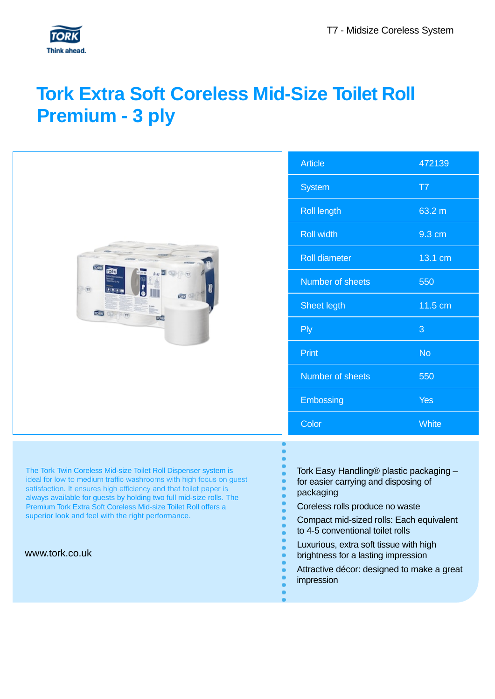# **Tork Extra Soft Coreless Mid-Size Toilet Roll Premium - 3 ply**

| $\mathsf{C}$ |  | $\overline{P}$ | $\overline{P}$ | 西 |  |  | TOOK<br>a.<br><b>Tree</b><br>ı<br>$\mathbb{R}^n$<br>DOOM<br>UŬ | S<br>$\overline{\mathsf{R}}$<br>$\overline{\mathsf{R}}$<br>$\overline{\mathsf{R}}$<br>N<br>S<br>N<br>E |
|--------------|--|----------------|----------------|---|--|--|----------------------------------------------------------------|--------------------------------------------------------------------------------------------------------|
|              |  |                |                |   |  |  |                                                                | $\overline{A}$                                                                                         |

| <b>Article</b>          | 472139       |
|-------------------------|--------------|
| <b>System</b>           | T7           |
| <b>Roll length</b>      | 63.2 m       |
| <b>Roll width</b>       | 9.3 cm       |
| <b>Roll diameter</b>    | 13.1 cm      |
| <b>Number of sheets</b> | 550          |
| <b>Sheet legth</b>      | 11.5 cm      |
| <b>Ply</b>              | 3            |
| Print                   | <b>No</b>    |
| <b>Number of sheets</b> | 550          |
| Embossing               | <b>Yes</b>   |
| Color                   | <b>White</b> |

The Tork Twin Coreless Mid-size Toilet Roll Dispenser system is ideal for low to medium traffic washrooms with high focus on guest satisfaction. It ensures high efficiency and that toilet paper is always available for guests by holding two full mid-size rolls. The Premium Tork Extra Soft Coreless Mid-size Toilet Roll offers a superior look and feel with the right performance.

www.tork.co.uk

- Tork Easy Handling® plastic packaging for easier carrying and disposing of
- packaging
	- Coreless rolls produce no waste
- Compact mid-sized rolls: Each equivalent to 4-5 conventional toilet rolls
- Luxurious, extra soft tissue with high brightness for a lasting impression
- Attractive décor: designed to make a great impression